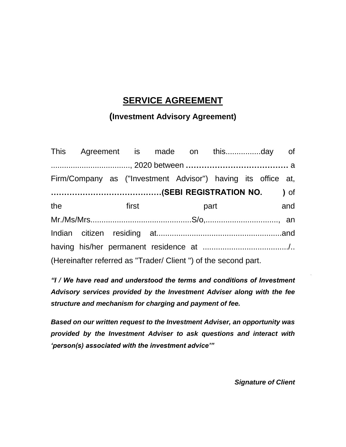## **SERVICE AGREEMENT**

### **(Investment Advisory Agreement)**

|                                                                | Firm/Company as ("Investment Advisor") having its office at,                                                                                                                                                                        |  |  |  |  |  |  |     |  |
|----------------------------------------------------------------|-------------------------------------------------------------------------------------------------------------------------------------------------------------------------------------------------------------------------------------|--|--|--|--|--|--|-----|--|
|                                                                |                                                                                                                                                                                                                                     |  |  |  |  |  |  |     |  |
| the                                                            | <b>Example 18 Text</b> 5 Text 5 Text 5 Text 5 Text 5 Text 5 Text 5 Text 5 Text 5 Text 5 Text 5 Text 5 Text 5 Text 5 Text 5 Text 5 Text 5 Text 5 Text 5 Text 5 Text 5 Text 5 Text 5 Text 5 Text 5 Text 5 Text 5 Text 5 Text 5 Text 5 |  |  |  |  |  |  | and |  |
|                                                                |                                                                                                                                                                                                                                     |  |  |  |  |  |  |     |  |
|                                                                |                                                                                                                                                                                                                                     |  |  |  |  |  |  |     |  |
|                                                                |                                                                                                                                                                                                                                     |  |  |  |  |  |  |     |  |
| (Hereinafter referred as "Trader/ Client") of the second part. |                                                                                                                                                                                                                                     |  |  |  |  |  |  |     |  |

*"I / We have read and understood the terms and conditions of Investment Advisory services provided by the Investment Adviser along with the fee structure and mechanism for charging and payment of fee.* 

*Based on our written request to the Investment Adviser, an opportunity was provided by the Investment Adviser to ask questions and interact with 'person(s) associated with the investment advice'"*

*Signature of Client*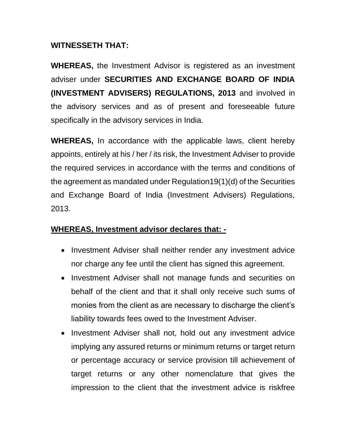#### **WITNESSETH THAT:**

**WHEREAS,** the Investment Advisor is registered as an investment adviser under **SECURITIES AND EXCHANGE BOARD OF INDIA (INVESTMENT ADVISERS) REGULATIONS, 2013** and involved in the advisory services and as of present and foreseeable future specifically in the advisory services in India.

**WHEREAS,** In accordance with the applicable laws, client hereby appoints, entirely at his / her / its risk, the Investment Adviser to provide the required services in accordance with the terms and conditions of the agreement as mandated under Regulation19(1)(d) of the Securities and Exchange Board of India (Investment Advisers) Regulations, 2013.

### **WHEREAS, Investment advisor declares that: -**

- Investment Adviser shall neither render any investment advice nor charge any fee until the client has signed this agreement.
- Investment Adviser shall not manage funds and securities on behalf of the client and that it shall only receive such sums of monies from the client as are necessary to discharge the client's liability towards fees owed to the Investment Adviser.
- Investment Adviser shall not, hold out any investment advice implying any assured returns or minimum returns or target return or percentage accuracy or service provision till achievement of target returns or any other nomenclature that gives the impression to the client that the investment advice is riskfree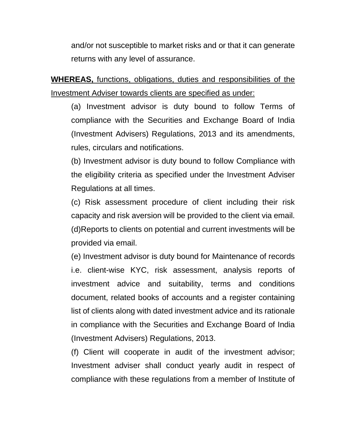and/or not susceptible to market risks and or that it can generate returns with any level of assurance.

**WHEREAS,** functions, obligations, duties and responsibilities of the Investment Adviser towards clients are specified as under:

(a) Investment advisor is duty bound to follow Terms of compliance with the Securities and Exchange Board of India (Investment Advisers) Regulations, 2013 and its amendments, rules, circulars and notifications.

(b) Investment advisor is duty bound to follow Compliance with the eligibility criteria as specified under the Investment Adviser Regulations at all times.

(c) Risk assessment procedure of client including their risk capacity and risk aversion will be provided to the client via email. (d)Reports to clients on potential and current investments will be provided via email.

(e) Investment advisor is duty bound for Maintenance of records i.e. client-wise KYC, risk assessment, analysis reports of investment advice and suitability, terms and conditions document, related books of accounts and a register containing list of clients along with dated investment advice and its rationale in compliance with the Securities and Exchange Board of India (Investment Advisers) Regulations, 2013.

(f) Client will cooperate in audit of the investment advisor; Investment adviser shall conduct yearly audit in respect of compliance with these regulations from a member of Institute of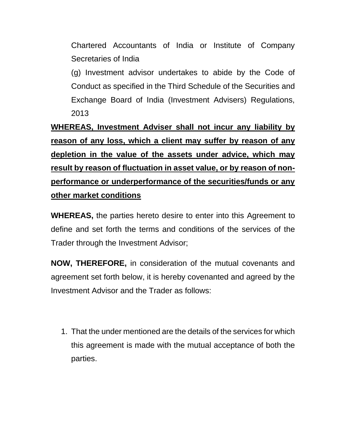Chartered Accountants of India or Institute of Company Secretaries of India

(g) Investment advisor undertakes to abide by the Code of Conduct as specified in the Third Schedule of the Securities and Exchange Board of India (Investment Advisers) Regulations, 2013

**WHEREAS, Investment Adviser shall not incur any liability by reason of any loss, which a client may suffer by reason of any depletion in the value of the assets under advice, which may result by reason of fluctuation in asset value, or by reason of nonperformance or underperformance of the securities/funds or any other market conditions**

**WHEREAS,** the parties hereto desire to enter into this Agreement to define and set forth the terms and conditions of the services of the Trader through the Investment Advisor;

**NOW, THEREFORE,** in consideration of the mutual covenants and agreement set forth below, it is hereby covenanted and agreed by the Investment Advisor and the Trader as follows:

1. That the under mentioned are the details of the services for which this agreement is made with the mutual acceptance of both the parties.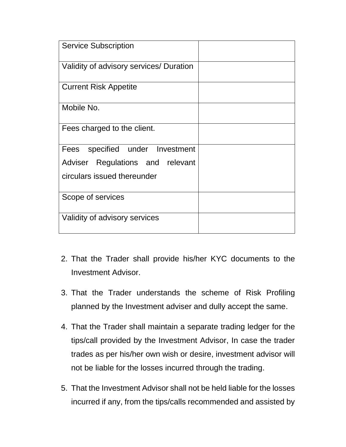| <b>Service Subscription</b>             |  |
|-----------------------------------------|--|
| Validity of advisory services/ Duration |  |
| <b>Current Risk Appetite</b>            |  |
| Mobile No.                              |  |
| Fees charged to the client.             |  |
| Fees specified under Investment         |  |
| Adviser Regulations and relevant        |  |
| circulars issued thereunder             |  |
| Scope of services                       |  |
| Validity of advisory services           |  |

- 2. That the Trader shall provide his/her KYC documents to the Investment Advisor.
- 3. That the Trader understands the scheme of Risk Profiling planned by the Investment adviser and dully accept the same.
- 4. That the Trader shall maintain a separate trading ledger for the tips/call provided by the Investment Advisor, In case the trader trades as per his/her own wish or desire, investment advisor will not be liable for the losses incurred through the trading.
- 5. That the Investment Advisor shall not be held liable for the losses incurred if any, from the tips/calls recommended and assisted by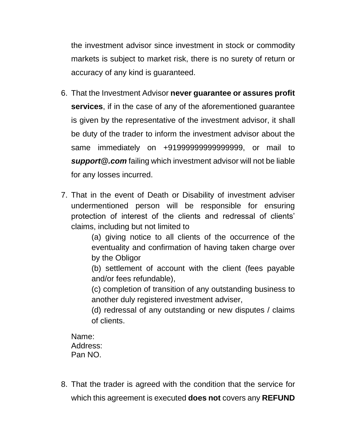the investment advisor since investment in stock or commodity markets is subject to market risk, there is no surety of return or accuracy of any kind is guaranteed.

- 6. That the Investment Advisor **never guarantee or assures profit services**, if in the case of any of the aforementioned guarantee is given by the representative of the investment advisor, it shall be duty of the trader to inform the investment advisor about the same immediately on +91999999999999999, or mail to *support@.com* failing which investment advisor will not be liable for any losses incurred.
- 7. That in the event of Death or Disability of investment adviser undermentioned person will be responsible for ensuring protection of interest of the clients and redressal of clients' claims, including but not limited to

(a) giving notice to all clients of the occurrence of the eventuality and confirmation of having taken charge over by the Obligor

(b) settlement of account with the client (fees payable and/or fees refundable),

(c) completion of transition of any outstanding business to another duly registered investment adviser,

(d) redressal of any outstanding or new disputes / claims of clients.

Name: Address: Pan NO.

8. That the trader is agreed with the condition that the service for which this agreement is executed **does not** covers any **REFUND**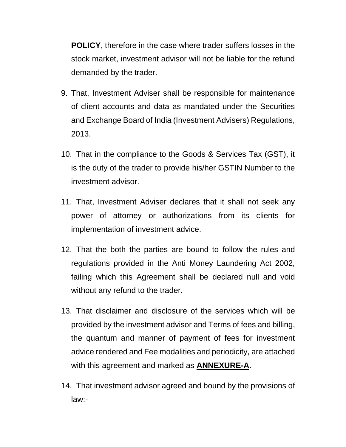**POLICY**, therefore in the case where trader suffers losses in the stock market, investment advisor will not be liable for the refund demanded by the trader.

- 9. That, Investment Adviser shall be responsible for maintenance of client accounts and data as mandated under the Securities and Exchange Board of India (Investment Advisers) Regulations, 2013.
- 10. That in the compliance to the Goods & Services Tax (GST), it is the duty of the trader to provide his/her GSTIN Number to the investment advisor.
- 11. That, Investment Adviser declares that it shall not seek any power of attorney or authorizations from its clients for implementation of investment advice.
- 12. That the both the parties are bound to follow the rules and regulations provided in the Anti Money Laundering Act 2002, failing which this Agreement shall be declared null and void without any refund to the trader.
- 13. That disclaimer and disclosure of the services which will be provided by the investment advisor and Terms of fees and billing, the quantum and manner of payment of fees for investment advice rendered and Fee modalities and periodicity, are attached with this agreement and marked as **ANNEXURE-A**.
- 14. That investment advisor agreed and bound by the provisions of law:-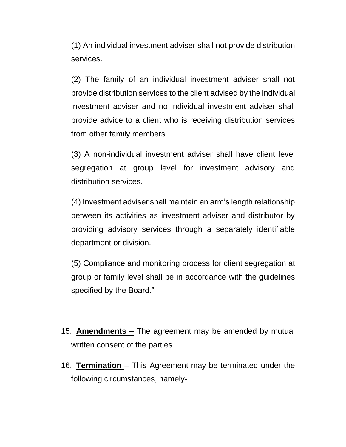(1) An individual investment adviser shall not provide distribution services.

(2) The family of an individual investment adviser shall not provide distribution services to the client advised by the individual investment adviser and no individual investment adviser shall provide advice to a client who is receiving distribution services from other family members.

(3) A non-individual investment adviser shall have client level segregation at group level for investment advisory and distribution services.

(4) Investment adviser shall maintain an arm's length relationship between its activities as investment adviser and distributor by providing advisory services through a separately identifiable department or division.

(5) Compliance and monitoring process for client segregation at group or family level shall be in accordance with the guidelines specified by the Board."

- 15. **Amendments –** The agreement may be amended by mutual written consent of the parties.
- 16. **Termination**  This Agreement may be terminated under the following circumstances, namely-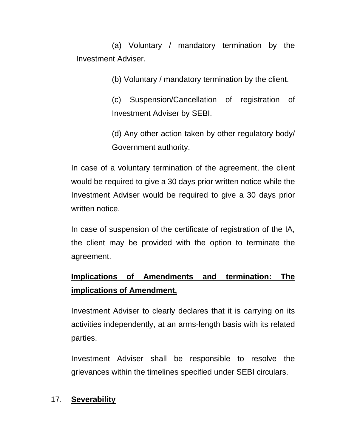(a) Voluntary / mandatory termination by the Investment Adviser.

(b) Voluntary / mandatory termination by the client.

(c) Suspension/Cancellation of registration of Investment Adviser by SEBI.

(d) Any other action taken by other regulatory body/ Government authority.

In case of a voluntary termination of the agreement, the client would be required to give a 30 days prior written notice while the Investment Adviser would be required to give a 30 days prior written notice.

In case of suspension of the certificate of registration of the IA, the client may be provided with the option to terminate the agreement.

# **Implications of Amendments and termination: The implications of Amendment,**

Investment Adviser to clearly declares that it is carrying on its activities independently, at an arms-length basis with its related parties.

Investment Adviser shall be responsible to resolve the grievances within the timelines specified under SEBI circulars.

### 17. **Severability**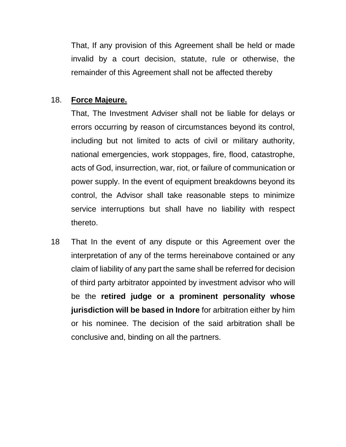That, If any provision of this Agreement shall be held or made invalid by a court decision, statute, rule or otherwise, the remainder of this Agreement shall not be affected thereby

#### 18. **Force Majeure.**

That, The Investment Adviser shall not be liable for delays or errors occurring by reason of circumstances beyond its control, including but not limited to acts of civil or military authority, national emergencies, work stoppages, fire, flood, catastrophe, acts of God, insurrection, war, riot, or failure of communication or power supply. In the event of equipment breakdowns beyond its control, the Advisor shall take reasonable steps to minimize service interruptions but shall have no liability with respect thereto.

18 That In the event of any dispute or this Agreement over the interpretation of any of the terms hereinabove contained or any claim of liability of any part the same shall be referred for decision of third party arbitrator appointed by investment advisor who will be the **retired judge or a prominent personality whose jurisdiction will be based in Indore** for arbitration either by him or his nominee. The decision of the said arbitration shall be conclusive and, binding on all the partners.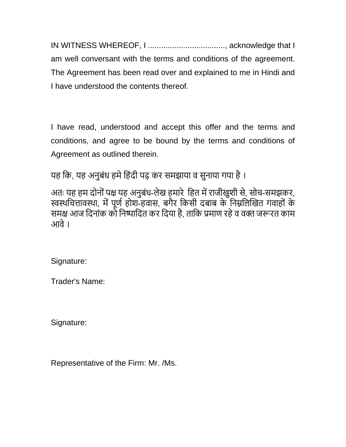IN WITNESS WHEREOF, I ..................................., acknowledge that I am well conversant with the terms and conditions of the agreement. The Agreement has been read over and explained to me in Hindi and I have understood the contents thereof.

I have read, understood and accept this offer and the terms and conditions, and agree to be bound by the terms and conditions of Agreement as outlined therein.

यह कि, यह अनुबंध हमे हिंदी पढ़ कर समझाया व सुनाया गया है।

अतः यह हम दोनों पक्ष यह अनुबंध-लेख हमारे हित में राजीखुशी से, सोच-समझकर, स्वस्थचित्तावस्था, में पूर्ण होश-हवास, बगैर किसी दबाब के निम्नलिखित गवाहों के समक्ष आज दिनांक को निष्पादित कर दिया है, ताकि प्रमाण रहे व वक्त जरूरत काम आवे।

Signature:

Trader's Name:

Signature:

Representative of the Firm: Mr. /Ms.